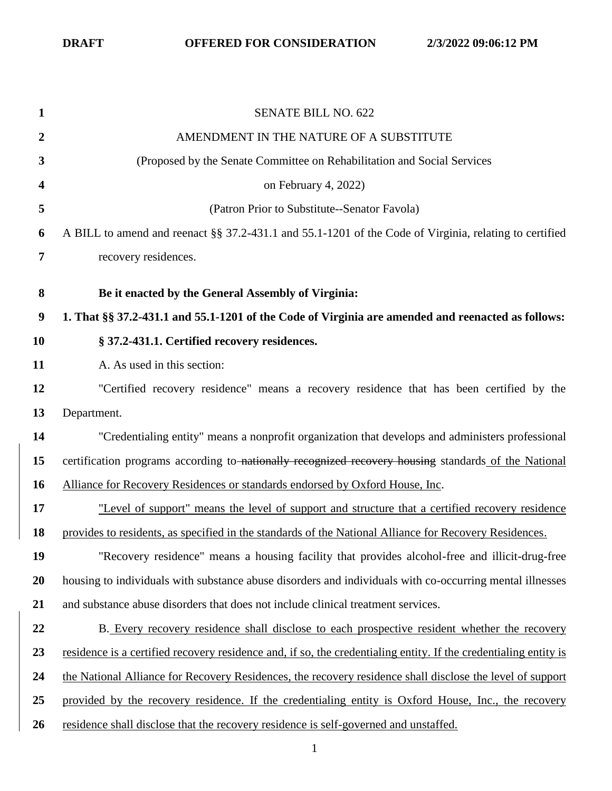| $\mathbf{1}$     | <b>SENATE BILL NO. 622</b>                                                                                       |
|------------------|------------------------------------------------------------------------------------------------------------------|
| $\boldsymbol{2}$ | AMENDMENT IN THE NATURE OF A SUBSTITUTE                                                                          |
| 3                | (Proposed by the Senate Committee on Rehabilitation and Social Services                                          |
| 4                | on February 4, 2022)                                                                                             |
| 5                | (Patron Prior to Substitute--Senator Favola)                                                                     |
| 6                | A BILL to amend and reenact §§ 37.2-431.1 and 55.1-1201 of the Code of Virginia, relating to certified           |
| $\overline{7}$   | recovery residences.                                                                                             |
| 8                | Be it enacted by the General Assembly of Virginia:                                                               |
| $\boldsymbol{9}$ | 1. That §§ 37.2-431.1 and 55.1-1201 of the Code of Virginia are amended and reenacted as follows:                |
| <b>10</b>        | § 37.2-431.1. Certified recovery residences.                                                                     |
| 11               | A. As used in this section:                                                                                      |
| 12               | "Certified recovery residence" means a recovery residence that has been certified by the                         |
| 13               | Department.                                                                                                      |
| 14               | "Credentialing entity" means a nonprofit organization that develops and administers professional                 |
| 15               | certification programs according to nationally recognized recovery housing standards of the National             |
| 16               | Alliance for Recovery Residences or standards endorsed by Oxford House, Inc.                                     |
| 17               | "Level of support" means the level of support and structure that a certified recovery residence                  |
| 18               | provides to residents, as specified in the standards of the National Alliance for Recovery Residences.           |
| 19               | "Recovery residence" means a housing facility that provides alcohol-free and illicit-drug-free                   |
| 20               | housing to individuals with substance abuse disorders and individuals with co-occurring mental illnesses         |
| 21               | and substance abuse disorders that does not include clinical treatment services.                                 |
| 22               | B. Every recovery residence shall disclose to each prospective resident whether the recovery                     |
| 23               | residence is a certified recovery residence and, if so, the credentialing entity. If the credentialing entity is |
| 24               | the National Alliance for Recovery Residences, the recovery residence shall disclose the level of support        |
| 25               | provided by the recovery residence. If the credentialing entity is Oxford House, Inc., the recovery              |
| 26               | residence shall disclose that the recovery residence is self-governed and unstaffed.                             |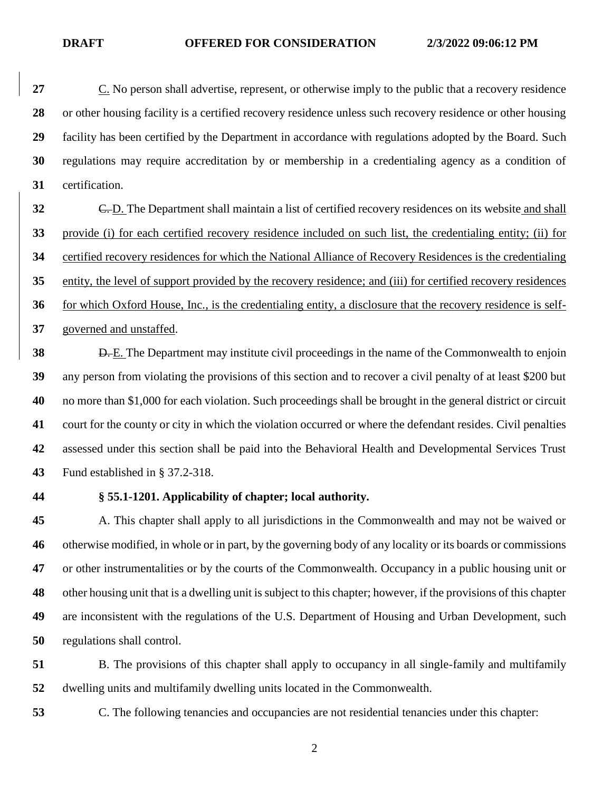C. No person shall advertise, represent, or otherwise imply to the public that a recovery residence or other housing facility is a certified recovery residence unless such recovery residence or other housing facility has been certified by the Department in accordance with regulations adopted by the Board. Such regulations may require accreditation by or membership in a credentialing agency as a condition of certification.

 C. D. The Department shall maintain a list of certified recovery residences on its website and shall provide (i) for each certified recovery residence included on such list, the credentialing entity; (ii) for certified recovery residences for which the National Alliance of Recovery Residences is the credentialing entity, the level of support provided by the recovery residence; and (iii) for certified recovery residences for which Oxford House, Inc., is the credentialing entity, a disclosure that the recovery residence is self-governed and unstaffed.

 **D.** E. The Department may institute civil proceedings in the name of the Commonwealth to enjoin any person from violating the provisions of this section and to recover a civil penalty of at least \$200 but no more than \$1,000 for each violation. Such proceedings shall be brought in the general district or circuit court for the county or city in which the violation occurred or where the defendant resides. Civil penalties assessed under this section shall be paid into the Behavioral Health and Developmental Services Trust Fund established in § 37.2-318.

## **§ 55.1-1201. Applicability of chapter; local authority.**

 A. This chapter shall apply to all jurisdictions in the Commonwealth and may not be waived or otherwise modified, in whole or in part, by the governing body of any locality or its boards or commissions or other instrumentalities or by the courts of the Commonwealth. Occupancy in a public housing unit or other housing unit that is a dwelling unit is subject to this chapter; however, if the provisions of this chapter are inconsistent with the regulations of the U.S. Department of Housing and Urban Development, such regulations shall control.

 B. The provisions of this chapter shall apply to occupancy in all single-family and multifamily dwelling units and multifamily dwelling units located in the Commonwealth.

C. The following tenancies and occupancies are not residential tenancies under this chapter: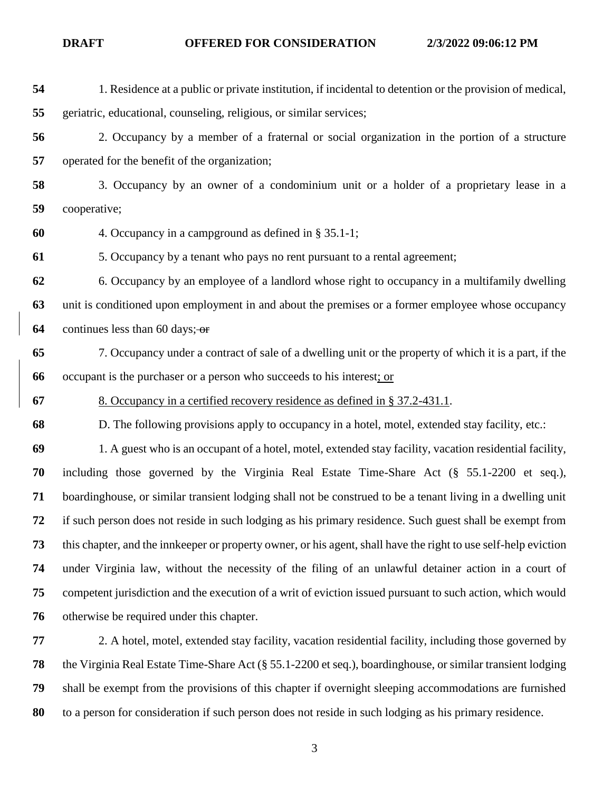1. Residence at a public or private institution, if incidental to detention or the provision of medical, geriatric, educational, counseling, religious, or similar services; 2. Occupancy by a member of a fraternal or social organization in the portion of a structure operated for the benefit of the organization; 3. Occupancy by an owner of a condominium unit or a holder of a proprietary lease in a cooperative; 4. Occupancy in a campground as defined in § 35.1-1; 5. Occupancy by a tenant who pays no rent pursuant to a rental agreement; 6. Occupancy by an employee of a landlord whose right to occupancy in a multifamily dwelling unit is conditioned upon employment in and about the premises or a former employee whose occupancy continues less than 60 days; or 7. Occupancy under a contract of sale of a dwelling unit or the property of which it is a part, if the occupant is the purchaser or a person who succeeds to his interest; or 8. Occupancy in a certified recovery residence as defined in § 37.2-431.1. D. The following provisions apply to occupancy in a hotel, motel, extended stay facility, etc.: 1. A guest who is an occupant of a hotel, motel, extended stay facility, vacation residential facility, including those governed by the Virginia Real Estate Time-Share Act (§ 55.1-2200 et seq.), boardinghouse, or similar transient lodging shall not be construed to be a tenant living in a dwelling unit if such person does not reside in such lodging as his primary residence. Such guest shall be exempt from this chapter, and the innkeeper or property owner, or his agent, shall have the right to use self-help eviction under Virginia law, without the necessity of the filing of an unlawful detainer action in a court of competent jurisdiction and the execution of a writ of eviction issued pursuant to such action, which would otherwise be required under this chapter. 2. A hotel, motel, extended stay facility, vacation residential facility, including those governed by the Virginia Real Estate Time-Share Act (§ 55.1-2200 et seq.), boardinghouse, or similar transient lodging shall be exempt from the provisions of this chapter if overnight sleeping accommodations are furnished to a person for consideration if such person does not reside in such lodging as his primary residence.